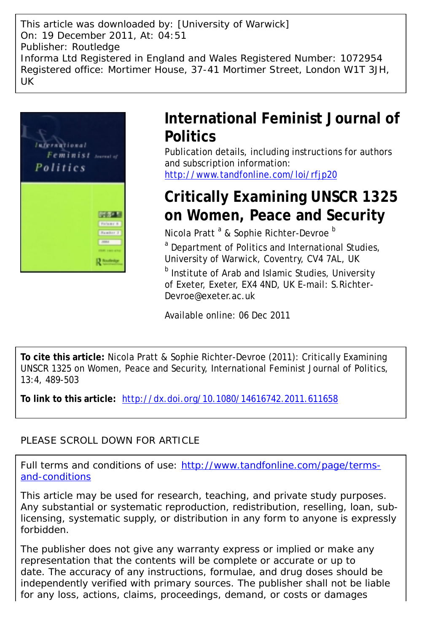This article was downloaded by: [University of Warwick] On: 19 December 2011, At: 04:51 Publisher: Routledge Informa Ltd Registered in England and Wales Registered Number: 1072954 Registered office: Mortimer House, 37-41 Mortimer Street, London W1T 3JH, UK



## **International Feminist Journal of Politics**

Publication details, including instructions for authors and subscription information: <http://www.tandfonline.com/loi/rfjp20>

# **Critically Examining UNSCR 1325 on Women, Peace and Security**

Nicola Pratt <sup>a</sup> & Sophie Richter-Devroe <sup>b</sup>

<sup>a</sup> Department of Politics and International Studies, University of Warwick, Coventry, CV4 7AL, UK

**b** Institute of Arab and Islamic Studies, University of Exeter, Exeter, EX4 4ND, UK E-mail: S.Richter-Devroe@exeter.ac.uk

Available online: 06 Dec 2011

**To cite this article:** Nicola Pratt & Sophie Richter-Devroe (2011): Critically Examining UNSCR 1325 on Women, Peace and Security, International Feminist Journal of Politics, 13:4, 489-503

**To link to this article:** <http://dx.doi.org/10.1080/14616742.2011.611658>

### PLEASE SCROLL DOWN FOR ARTICLE

Full terms and conditions of use: [http://www.tandfonline.com/page/terms](http://www.tandfonline.com/page/terms-and-conditions)[and-conditions](http://www.tandfonline.com/page/terms-and-conditions)

This article may be used for research, teaching, and private study purposes. Any substantial or systematic reproduction, redistribution, reselling, loan, sublicensing, systematic supply, or distribution in any form to anyone is expressly forbidden.

The publisher does not give any warranty express or implied or make any representation that the contents will be complete or accurate or up to date. The accuracy of any instructions, formulae, and drug doses should be independently verified with primary sources. The publisher shall not be liable for any loss, actions, claims, proceedings, demand, or costs or damages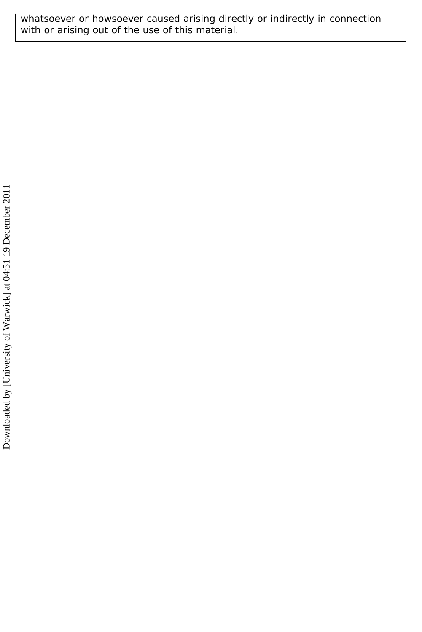whatsoever or howsoever caused arising directly or indirectly in connection with or arising out of the use of this material.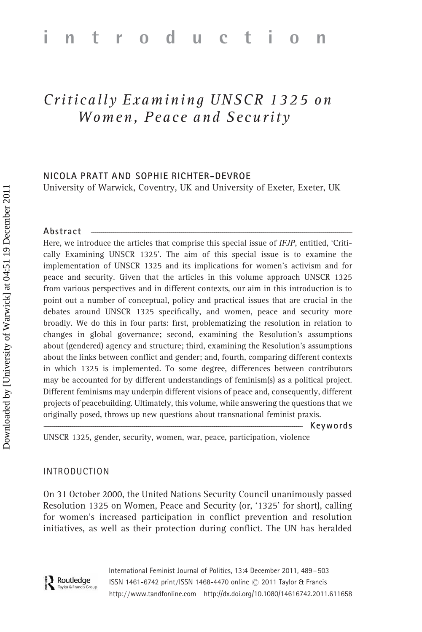### Critically Examining UNSCR 1325 on Women, Peace and Security

#### NICOLA PRATT AND SOPHIE RICHTER-DEVROE University of Warwick, Coventry, UK and University of Exeter, Exeter, UK

#### Abstract -------------------------------------------------------------------------------------------------------------------------------

Here, we introduce the articles that comprise this special issue of IFJP, entitled, 'Critically Examining UNSCR 1325'. The aim of this special issue is to examine the implementation of UNSCR 1325 and its implications for women's activism and for peace and security. Given that the articles in this volume approach UNSCR 1325 from various perspectives and in different contexts, our aim in this introduction is to point out a number of conceptual, policy and practical issues that are crucial in the debates around UNSCR 1325 specifically, and women, peace and security more broadly. We do this in four parts: first, problematizing the resolution in relation to changes in global governance; second, examining the Resolution's assumptions about (gendered) agency and structure; third, examining the Resolution's assumptions about the links between conflict and gender; and, fourth, comparing different contexts in which 1325 is implemented. To some degree, differences between contributors may be accounted for by different understandings of feminism(s) as a political project. Different feminisms may underpin different visions of peace and, consequently, different projects of peacebuilding. Ultimately, this volume, while answering the questions that we originally posed, throws up new questions about transnational feminist praxis.

Keywords

UNSCR 1325, gender, security, women, war, peace, participation, violence

#### INTRODUCTION

On 31 October 2000, the United Nations Security Council unanimously passed Resolution 1325 on Women, Peace and Security (or, '1325' for short), calling for women's increased participation in conflict prevention and resolution initiatives, as well as their protection during conflict. The UN has heralded

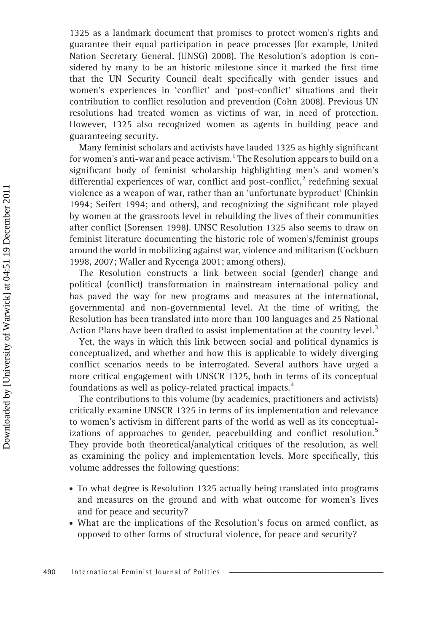1325 as a landmark document that promises to protect women's rights and guarantee their equal participation in peace processes (for example, United Nation Secretary General. (UNSG) 2008). The Resolution's adoption is considered by many to be an historic milestone since it marked the first time that the UN Security Council dealt specifically with gender issues and women's experiences in 'conflict' and 'post-conflict' situations and their contribution to conflict resolution and prevention (Cohn 2008). Previous UN resolutions had treated women as victims of war, in need of protection. However, 1325 also recognized women as agents in building peace and guaranteeing security.

Many feminist scholars and activists have lauded 1325 as highly significant for women's anti-war and peace activism.<sup>1</sup> The Resolution appears to build on a significant body of feminist scholarship highlighting men's and women's differential experiences of war, conflict and post-conflict,<sup>2</sup> redefining sexual violence as a weapon of war, rather than an 'unfortunate byproduct' (Chinkin 1994; Seifert 1994; and others), and recognizing the significant role played by women at the grassroots level in rebuilding the lives of their communities after conflict (Sorensen 1998). UNSC Resolution 1325 also seems to draw on feminist literature documenting the historic role of women's/feminist groups around the world in mobilizing against war, violence and militarism (Cockburn 1998, 2007; Waller and Rycenga 2001; among others).

The Resolution constructs a link between social (gender) change and political (conflict) transformation in mainstream international policy and has paved the way for new programs and measures at the international, governmental and non-governmental level. At the time of writing, the Resolution has been translated into more than 100 languages and 25 National Action Plans have been drafted to assist implementation at the country level.<sup>3</sup>

Yet, the ways in which this link between social and political dynamics is conceptualized, and whether and how this is applicable to widely diverging conflict scenarios needs to be interrogated. Several authors have urged a more critical engagement with UNSCR 1325, both in terms of its conceptual foundations as well as policy-related practical impacts.<sup>4</sup>

The contributions to this volume (by academics, practitioners and activists) critically examine UNSCR 1325 in terms of its implementation and relevance to women's activism in different parts of the world as well as its conceptualizations of approaches to gender, peacebuilding and conflict resolution.<sup>5</sup> They provide both theoretical/analytical critiques of the resolution, as well as examining the policy and implementation levels. More specifically, this volume addresses the following questions:

- . To what degree is Resolution 1325 actually being translated into programs and measures on the ground and with what outcome for women's lives and for peace and security?
- . What are the implications of the Resolution's focus on armed conflict, as opposed to other forms of structural violence, for peace and security?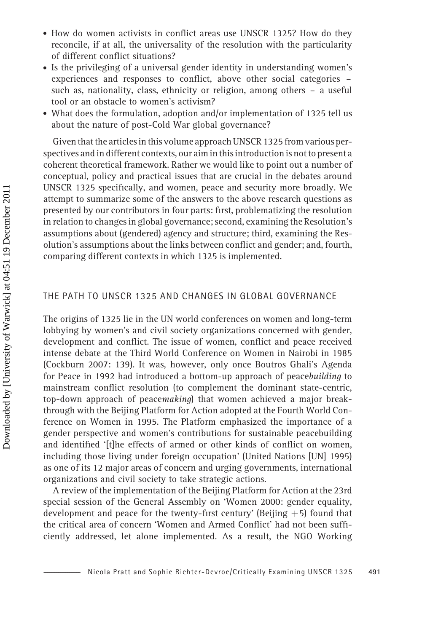- . How do women activists in conflict areas use UNSCR 1325? How do they reconcile, if at all, the universality of the resolution with the particularity of different conflict situations?
- . Is the privileging of a universal gender identity in understanding women's experiences and responses to conflict, above other social categories – such as, nationality, class, ethnicity or religion, among others – a useful tool or an obstacle to women's activism?
- . What does the formulation, adoption and/or implementation of 1325 tell us about the nature of post-Cold War global governance?

Given that the articles in this volume approach UNSCR 1325 from various perspectives and in different contexts, our aim in this introduction is not to present a coherent theoretical framework. Rather we would like to point out a number of conceptual, policy and practical issues that are crucial in the debates around UNSCR 1325 specifically, and women, peace and security more broadly. We attempt to summarize some of the answers to the above research questions as presented by our contributors in four parts: first, problematizing the resolution in relation to changes in global governance; second, examining the Resolution's assumptions about (gendered) agency and structure; third, examining the Resolution's assumptions about the links between conflict and gender; and, fourth, comparing different contexts in which 1325 is implemented.

#### THE PATH TO UNSCR 1325 AND CHANGES IN GLOBAL GOVERNANCE

The origins of 1325 lie in the UN world conferences on women and long-term lobbying by women's and civil society organizations concerned with gender, development and conflict. The issue of women, conflict and peace received intense debate at the Third World Conference on Women in Nairobi in 1985 (Cockburn 2007: 139). It was, however, only once Boutros Ghali's Agenda for Peace in 1992 had introduced a bottom-up approach of peacebuilding to mainstream conflict resolution (to complement the dominant state-centric, top-down approach of peacemaking) that women achieved a major breakthrough with the Beijing Platform for Action adopted at the Fourth World Conference on Women in 1995. The Platform emphasized the importance of a gender perspective and women's contributions for sustainable peacebuilding and identified '[t]he effects of armed or other kinds of conflict on women, including those living under foreign occupation' (United Nations [UN] 1995) as one of its 12 major areas of concern and urging governments, international organizations and civil society to take strategic actions.

A review of the implementation of the Beijing Platform for Action at the 23rd special session of the General Assembly on 'Women 2000: gender equality, development and peace for the twenty-first century' (Beijing  $+5$ ) found that the critical area of concern 'Women and Armed Conflict' had not been sufficiently addressed, let alone implemented. As a result, the NGO Working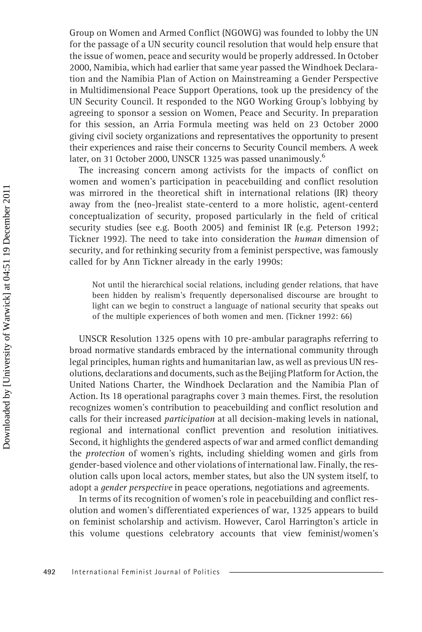Group on Women and Armed Conflict (NGOWG) was founded to lobby the UN for the passage of a UN security council resolution that would help ensure that the issue of women, peace and security would be properly addressed. In October 2000, Namibia, which had earlier that same year passed the Windhoek Declaration and the Namibia Plan of Action on Mainstreaming a Gender Perspective in Multidimensional Peace Support Operations, took up the presidency of the UN Security Council. It responded to the NGO Working Group's lobbying by agreeing to sponsor a session on Women, Peace and Security. In preparation for this session, an Arria Formula meeting was held on 23 October 2000 giving civil society organizations and representatives the opportunity to present their experiences and raise their concerns to Security Council members. A week later, on 31 October 2000, UNSCR 1325 was passed unanimously.<sup>6</sup>

The increasing concern among activists for the impacts of conflict on women and women's participation in peacebuilding and conflict resolution was mirrored in the theoretical shift in international relations (IR) theory away from the (neo-)realist state-centerd to a more holistic, agent-centerd conceptualization of security, proposed particularly in the field of critical security studies (see e.g. Booth 2005) and feminist IR (e.g. Peterson 1992; Tickner 1992). The need to take into consideration the human dimension of security, and for rethinking security from a feminist perspective, was famously called for by Ann Tickner already in the early 1990s:

Not until the hierarchical social relations, including gender relations, that have been hidden by realism's frequently depersonalised discourse are brought to light can we begin to construct a language of national security that speaks out of the multiple experiences of both women and men. (Tickner 1992: 66)

UNSCR Resolution 1325 opens with 10 pre-ambular paragraphs referring to broad normative standards embraced by the international community through legal principles, human rights and humanitarian law, as well as previous UN resolutions, declarations and documents, such as the Beijing Platform for Action, the United Nations Charter, the Windhoek Declaration and the Namibia Plan of Action. Its 18 operational paragraphs cover 3 main themes. First, the resolution recognizes women's contribution to peacebuilding and conflict resolution and calls for their increased participation at all decision-making levels in national, regional and international conflict prevention and resolution initiatives. Second, it highlights the gendered aspects of war and armed conflict demanding the protection of women's rights, including shielding women and girls from gender-based violence and other violations of international law. Finally, the resolution calls upon local actors, member states, but also the UN system itself, to adopt a gender perspective in peace operations, negotiations and agreements.

In terms of its recognition of women's role in peacebuilding and conflict resolution and women's differentiated experiences of war, 1325 appears to build on feminist scholarship and activism. However, Carol Harrington's article in this volume questions celebratory accounts that view feminist/women's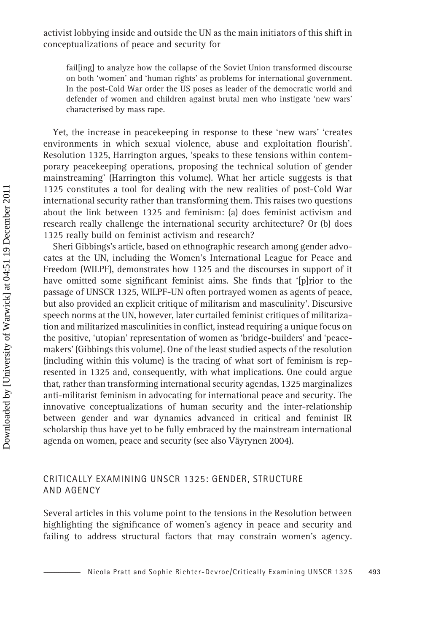activist lobbying inside and outside the UN as the main initiators of this shift in conceptualizations of peace and security for

fail[ing] to analyze how the collapse of the Soviet Union transformed discourse on both 'women' and 'human rights' as problems for international government. In the post-Cold War order the US poses as leader of the democratic world and defender of women and children against brutal men who instigate 'new wars' characterised by mass rape.

Yet, the increase in peacekeeping in response to these 'new wars' 'creates environments in which sexual violence, abuse and exploitation flourish'. Resolution 1325, Harrington argues, 'speaks to these tensions within contemporary peacekeeping operations, proposing the technical solution of gender mainstreaming' (Harrington this volume). What her article suggests is that 1325 constitutes a tool for dealing with the new realities of post-Cold War international security rather than transforming them. This raises two questions about the link between 1325 and feminism: (a) does feminist activism and research really challenge the international security architecture? Or (b) does 1325 really build on feminist activism and research?

Sheri Gibbings's article, based on ethnographic research among gender advocates at the UN, including the Women's International League for Peace and Freedom (WILPF), demonstrates how 1325 and the discourses in support of it have omitted some significant feminist aims. She finds that '[p]rior to the passage of UNSCR 1325, WILPF-UN often portrayed women as agents of peace, but also provided an explicit critique of militarism and masculinity'. Discursive speech norms at the UN, however, later curtailed feminist critiques of militarization and militarized masculinities in conflict, instead requiring a unique focus on the positive, 'utopian' representation of women as 'bridge-builders' and 'peacemakers' (Gibbings this volume). One of the least studied aspects of the resolution (including within this volume) is the tracing of what sort of feminism is represented in 1325 and, consequently, with what implications. One could argue that, rather than transforming international security agendas, 1325 marginalizes anti-militarist feminism in advocating for international peace and security. The innovative conceptualizations of human security and the inter-relationship between gender and war dynamics advanced in critical and feminist IR scholarship thus have yet to be fully embraced by the mainstream international agenda on women, peace and security (see also Väyrynen 2004).

#### CRITICALLY EXAMINING UNSCR 1325: GENDER, STRUCTURE AND AGENCY

Several articles in this volume point to the tensions in the Resolution between highlighting the significance of women's agency in peace and security and failing to address structural factors that may constrain women's agency.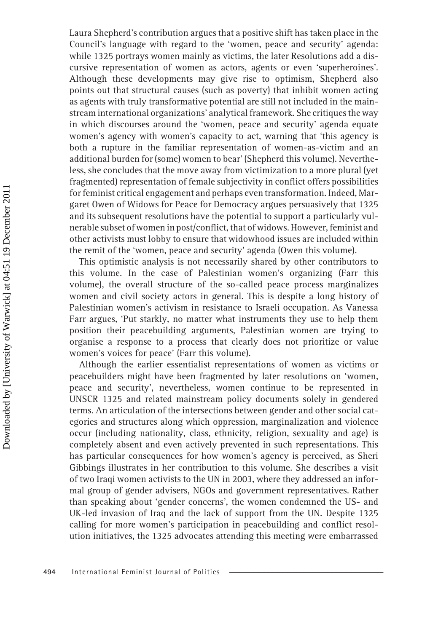Laura Shepherd's contribution argues that a positive shift has taken place in the Council's language with regard to the 'women, peace and security' agenda: while 1325 portrays women mainly as victims, the later Resolutions add a discursive representation of women as actors, agents or even 'superheroines'. Although these developments may give rise to optimism, Shepherd also points out that structural causes (such as poverty) that inhibit women acting as agents with truly transformative potential are still not included in the mainstream international organizations' analytical framework. She critiques the way in which discourses around the 'women, peace and security' agenda equate women's agency with women's capacity to act, warning that 'this agency is both a rupture in the familiar representation of women-as-victim and an additional burden for (some) women to bear' (Shepherd this volume). Nevertheless, she concludes that the move away from victimization to a more plural (yet fragmented) representation of female subjectivity in conflict offers possibilities for feminist critical engagement and perhaps even transformation. Indeed, Margaret Owen of Widows for Peace for Democracy argues persuasively that 1325 and its subsequent resolutions have the potential to support a particularly vulnerable subset of women in post/conflict, that of widows. However, feminist and other activists must lobby to ensure that widowhood issues are included within the remit of the 'women, peace and security' agenda (Owen this volume).

This optimistic analysis is not necessarily shared by other contributors to this volume. In the case of Palestinian women's organizing (Farr this volume), the overall structure of the so-called peace process marginalizes women and civil society actors in general. This is despite a long history of Palestinian women's activism in resistance to Israeli occupation. As Vanessa Farr argues, 'Put starkly, no matter what instruments they use to help them position their peacebuilding arguments, Palestinian women are trying to organise a response to a process that clearly does not prioritize or value women's voices for peace' (Farr this volume).

Although the earlier essentialist representations of women as victims or peacebuilders might have been fragmented by later resolutions on 'women, peace and security', nevertheless, women continue to be represented in UNSCR 1325 and related mainstream policy documents solely in gendered terms. An articulation of the intersections between gender and other social categories and structures along which oppression, marginalization and violence occur (including nationality, class, ethnicity, religion, sexuality and age) is completely absent and even actively prevented in such representations. This has particular consequences for how women's agency is perceived, as Sheri Gibbings illustrates in her contribution to this volume. She describes a visit of two Iraqi women activists to the UN in 2003, where they addressed an informal group of gender advisers, NGOs and government representatives. Rather than speaking about 'gender concerns', the women condemned the US- and UK-led invasion of Iraq and the lack of support from the UN. Despite 1325 calling for more women's participation in peacebuilding and conflict resolution initiatives, the 1325 advocates attending this meeting were embarrassed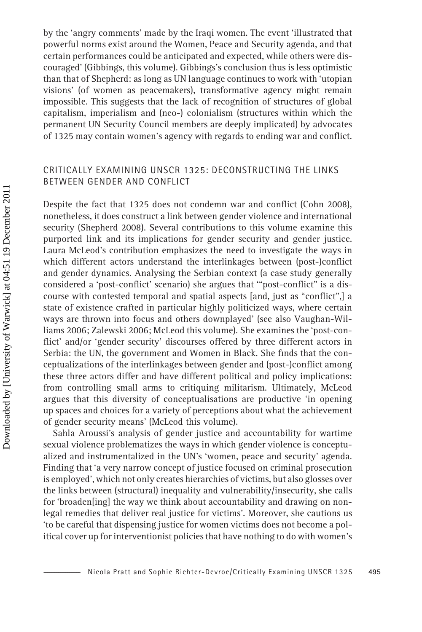by the 'angry comments' made by the Iraqi women. The event 'illustrated that powerful norms exist around the Women, Peace and Security agenda, and that certain performances could be anticipated and expected, while others were discouraged' (Gibbings, this volume). Gibbings's conclusion thus is less optimistic than that of Shepherd: as long as UN language continues to work with 'utopian visions' (of women as peacemakers), transformative agency might remain impossible. This suggests that the lack of recognition of structures of global capitalism, imperialism and (neo-) colonialism (structures within which the permanent UN Security Council members are deeply implicated) by advocates of 1325 may contain women's agency with regards to ending war and conflict.

#### CRITICALLY EXAMINING UNSCR 1325: DECONSTRUCTING THE LINKS BETWEEN GENDER AND CONFLICT

Despite the fact that 1325 does not condemn war and conflict (Cohn 2008), nonetheless, it does construct a link between gender violence and international security (Shepherd 2008). Several contributions to this volume examine this purported link and its implications for gender security and gender justice. Laura McLeod's contribution emphasizes the need to investigate the ways in which different actors understand the interlinkages between (post-)conflict and gender dynamics. Analysing the Serbian context (a case study generally considered a 'post-conflict' scenario) she argues that '"post-conflict" is a discourse with contested temporal and spatial aspects [and, just as "conflict",] a state of existence crafted in particular highly politicized ways, where certain ways are thrown into focus and others downplayed' (see also Vaughan-Williams 2006; Zalewski 2006; McLeod this volume). She examines the 'post-conflict' and/or 'gender security' discourses offered by three different actors in Serbia: the UN, the government and Women in Black. She finds that the conceptualizations of the interlinkages between gender and (post-)conflict among these three actors differ and have different political and policy implications: from controlling small arms to critiquing militarism. Ultimately, McLeod argues that this diversity of conceptualisations are productive 'in opening up spaces and choices for a variety of perceptions about what the achievement of gender security means' (McLeod this volume).

Sahla Aroussi's analysis of gender justice and accountability for wartime sexual violence problematizes the ways in which gender violence is conceptualized and instrumentalized in the UN's 'women, peace and security' agenda. Finding that 'a very narrow concept of justice focused on criminal prosecution is employed', which not only creates hierarchies of victims, but also glosses over the links between (structural) inequality and vulnerability/insecurity, she calls for 'broaden[ing] the way we think about accountability and drawing on nonlegal remedies that deliver real justice for victims'. Moreover, she cautions us 'to be careful that dispensing justice for women victims does not become a political cover up for interventionist policies that have nothing to do with women's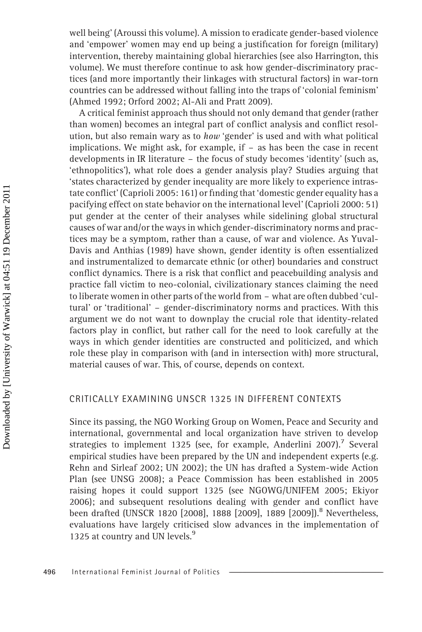well being' (Aroussi this volume). A mission to eradicate gender-based violence and 'empower' women may end up being a justification for foreign (military) intervention, thereby maintaining global hierarchies (see also Harrington, this volume). We must therefore continue to ask how gender-discriminatory practices (and more importantly their linkages with structural factors) in war-torn countries can be addressed without falling into the traps of 'colonial feminism' (Ahmed 1992; Orford 2002; Al-Ali and Pratt 2009).

A critical feminist approach thus should not only demand that gender (rather than women) becomes an integral part of conflict analysis and conflict resolution, but also remain wary as to *how* 'gender' is used and with what political implications. We might ask, for example, if – as has been the case in recent developments in IR literature – the focus of study becomes 'identity' (such as, 'ethnopolitics'), what role does a gender analysis play? Studies arguing that 'states characterized by gender inequality are more likely to experience intrastate conflict' (Caprioli 2005: 161) or finding that 'domestic gender equality has a pacifying effect on state behavior on the international level' (Caprioli 2000: 51) put gender at the center of their analyses while sidelining global structural causes of war and/or the ways in which gender-discriminatory norms and practices may be a symptom, rather than a cause, of war and violence. As Yuval-Davis and Anthias (1989) have shown, gender identity is often essentialized and instrumentalized to demarcate ethnic (or other) boundaries and construct conflict dynamics. There is a risk that conflict and peacebuilding analysis and practice fall victim to neo-colonial, civilizationary stances claiming the need to liberate women in other parts of the world from – what are often dubbed 'cultural' or 'traditional' – gender-discriminatory norms and practices. With this argument we do not want to downplay the crucial role that identity-related factors play in conflict, but rather call for the need to look carefully at the ways in which gender identities are constructed and politicized, and which role these play in comparison with (and in intersection with) more structural, material causes of war. This, of course, depends on context.

#### CRITICALLY EXAMINING UNSCR 1325 IN DIFFERENT CONTEXTS

Since its passing, the NGO Working Group on Women, Peace and Security and international, governmental and local organization have striven to develop strategies to implement 1325 (see, for example, Anderlini 2007).<sup>7</sup> Several empirical studies have been prepared by the UN and independent experts (e.g. Rehn and Sirleaf 2002; UN 2002); the UN has drafted a System-wide Action Plan (see UNSG 2008); a Peace Commission has been established in 2005 raising hopes it could support 1325 (see NGOWG/UNIFEM 2005; Ekiyor 2006); and subsequent resolutions dealing with gender and conflict have been drafted (UNSCR 1820 [2008], 1888 [2009], 1889 [2009]).<sup>8</sup> Nevertheless, evaluations have largely criticised slow advances in the implementation of 1325 at country and UN levels.<sup>9</sup>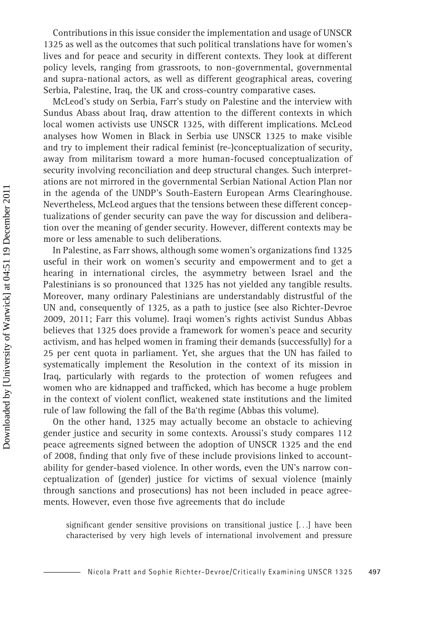Contributions in this issue consider the implementation and usage of UNSCR 1325 as well as the outcomes that such political translations have for women's lives and for peace and security in different contexts. They look at different policy levels, ranging from grassroots, to non-governmental, governmental and supra-national actors, as well as different geographical areas, covering Serbia, Palestine, Iraq, the UK and cross-country comparative cases.

McLeod's study on Serbia, Farr's study on Palestine and the interview with Sundus Abass about Iraq, draw attention to the different contexts in which local women activists use UNSCR 1325, with different implications. McLeod analyses how Women in Black in Serbia use UNSCR 1325 to make visible and try to implement their radical feminist (re-)conceptualization of security, away from militarism toward a more human-focused conceptualization of security involving reconciliation and deep structural changes. Such interpretations are not mirrored in the governmental Serbian National Action Plan nor in the agenda of the UNDP's South-Eastern European Arms Clearinghouse. Nevertheless, McLeod argues that the tensions between these different conceptualizations of gender security can pave the way for discussion and deliberation over the meaning of gender security. However, different contexts may be more or less amenable to such deliberations.

In Palestine, as Farr shows, although some women's organizations find 1325 useful in their work on women's security and empowerment and to get a hearing in international circles, the asymmetry between Israel and the Palestinians is so pronounced that 1325 has not yielded any tangible results. Moreover, many ordinary Palestinians are understandably distrustful of the UN and, consequently of 1325, as a path to justice (see also Richter-Devroe 2009, 2011; Farr this volume). Iraqi women's rights activist Sundus Abbas believes that 1325 does provide a framework for women's peace and security activism, and has helped women in framing their demands (successfully) for a 25 per cent quota in parliament. Yet, she argues that the UN has failed to systematically implement the Resolution in the context of its mission in Iraq, particularly with regards to the protection of women refugees and women who are kidnapped and trafficked, which has become a huge problem in the context of violent conflict, weakened state institutions and the limited rule of law following the fall of the Ba'th regime (Abbas this volume).

On the other hand, 1325 may actually become an obstacle to achieving gender justice and security in some contexts. Aroussi's study compares 112 peace agreements signed between the adoption of UNSCR 1325 and the end of 2008, finding that only five of these include provisions linked to accountability for gender-based violence. In other words, even the UN's narrow conceptualization of (gender) justice for victims of sexual violence (mainly through sanctions and prosecutions) has not been included in peace agreements. However, even those five agreements that do include

significant gender sensitive provisions on transitional justice [...] have been characterised by very high levels of international involvement and pressure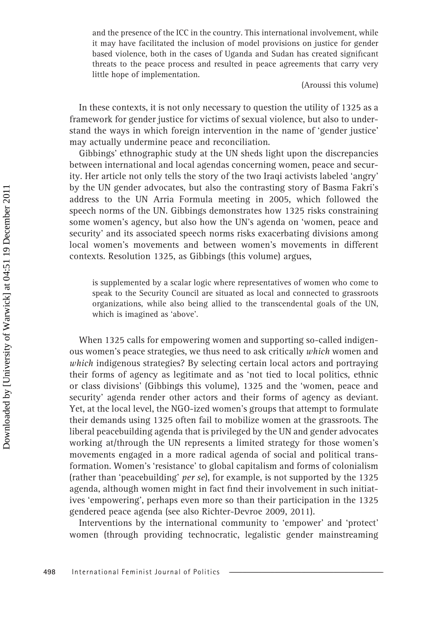and the presence of the ICC in the country. This international involvement, while it may have facilitated the inclusion of model provisions on justice for gender based violence, both in the cases of Uganda and Sudan has created significant threats to the peace process and resulted in peace agreements that carry very little hope of implementation.

(Aroussi this volume)

In these contexts, it is not only necessary to question the utility of 1325 as a framework for gender justice for victims of sexual violence, but also to understand the ways in which foreign intervention in the name of 'gender justice' may actually undermine peace and reconciliation.

Gibbings' ethnographic study at the UN sheds light upon the discrepancies between international and local agendas concerning women, peace and security. Her article not only tells the story of the two Iraqi activists labeled 'angry' by the UN gender advocates, but also the contrasting story of Basma Fakri's address to the UN Arria Formula meeting in 2005, which followed the speech norms of the UN. Gibbings demonstrates how 1325 risks constraining some women's agency, but also how the UN's agenda on 'women, peace and security' and its associated speech norms risks exacerbating divisions among local women's movements and between women's movements in different contexts. Resolution 1325, as Gibbings (this volume) argues,

is supplemented by a scalar logic where representatives of women who come to speak to the Security Council are situated as local and connected to grassroots organizations, while also being allied to the transcendental goals of the UN, which is imagined as 'above'.

When 1325 calls for empowering women and supporting so-called indigenous women's peace strategies, we thus need to ask critically which women and which indigenous strategies? By selecting certain local actors and portraying their forms of agency as legitimate and as 'not tied to local politics, ethnic or class divisions' (Gibbings this volume), 1325 and the 'women, peace and security' agenda render other actors and their forms of agency as deviant. Yet, at the local level, the NGO-ized women's groups that attempt to formulate their demands using 1325 often fail to mobilize women at the grassroots. The liberal peacebuilding agenda that is privileged by the UN and gender advocates working at/through the UN represents a limited strategy for those women's movements engaged in a more radical agenda of social and political transformation. Women's 'resistance' to global capitalism and forms of colonialism (rather than 'peacebuilding' per se), for example, is not supported by the 1325 agenda, although women might in fact find their involvement in such initiatives 'empowering', perhaps even more so than their participation in the 1325 gendered peace agenda (see also Richter-Devroe 2009, 2011).

Interventions by the international community to 'empower' and 'protect' women (through providing technocratic, legalistic gender mainstreaming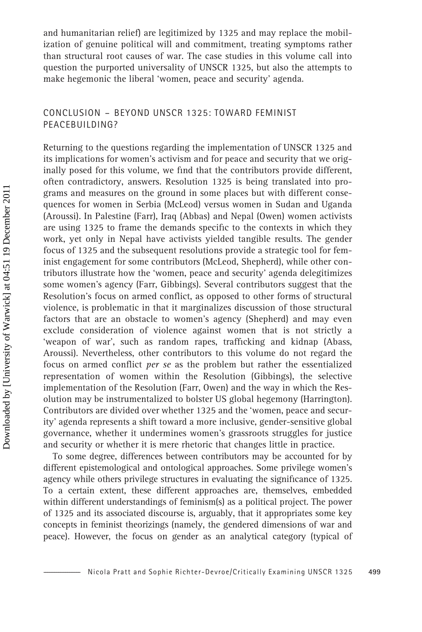and humanitarian relief) are legitimized by 1325 and may replace the mobilization of genuine political will and commitment, treating symptoms rather than structural root causes of war. The case studies in this volume call into question the purported universality of UNSCR 1325, but also the attempts to make hegemonic the liberal 'women, peace and security' agenda.

#### CONCLUSION – BEYOND UNSCR 1325: TOWARD FEMINIST PEACEBUILDING?

Returning to the questions regarding the implementation of UNSCR 1325 and its implications for women's activism and for peace and security that we originally posed for this volume, we find that the contributors provide different, often contradictory, answers. Resolution 1325 is being translated into programs and measures on the ground in some places but with different consequences for women in Serbia (McLeod) versus women in Sudan and Uganda (Aroussi). In Palestine (Farr), Iraq (Abbas) and Nepal (Owen) women activists are using 1325 to frame the demands specific to the contexts in which they work, yet only in Nepal have activists yielded tangible results. The gender focus of 1325 and the subsequent resolutions provide a strategic tool for feminist engagement for some contributors (McLeod, Shepherd), while other contributors illustrate how the 'women, peace and security' agenda delegitimizes some women's agency (Farr, Gibbings). Several contributors suggest that the Resolution's focus on armed conflict, as opposed to other forms of structural violence, is problematic in that it marginalizes discussion of those structural factors that are an obstacle to women's agency (Shepherd) and may even exclude consideration of violence against women that is not strictly a 'weapon of war', such as random rapes, trafficking and kidnap (Abass, Aroussi). Nevertheless, other contributors to this volume do not regard the focus on armed conflict per se as the problem but rather the essentialized representation of women within the Resolution (Gibbings), the selective implementation of the Resolution (Farr, Owen) and the way in which the Resolution may be instrumentalized to bolster US global hegemony (Harrington). Contributors are divided over whether 1325 and the 'women, peace and security' agenda represents a shift toward a more inclusive, gender-sensitive global governance, whether it undermines women's grassroots struggles for justice and security or whether it is mere rhetoric that changes little in practice.

To some degree, differences between contributors may be accounted for by different epistemological and ontological approaches. Some privilege women's agency while others privilege structures in evaluating the significance of 1325. To a certain extent, these different approaches are, themselves, embedded within different understandings of feminism(s) as a political project. The power of 1325 and its associated discourse is, arguably, that it appropriates some key concepts in feminist theorizings (namely, the gendered dimensions of war and peace). However, the focus on gender as an analytical category (typical of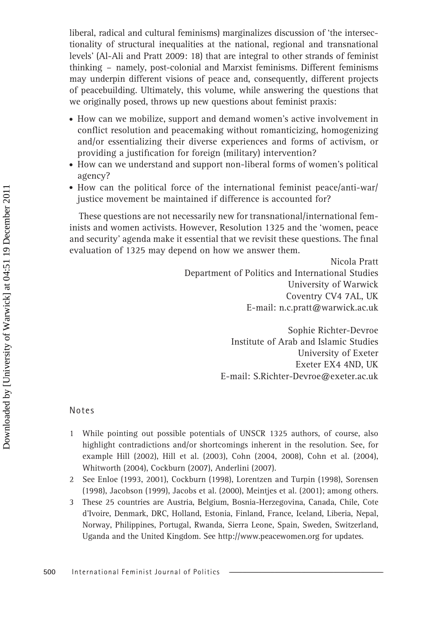liberal, radical and cultural feminisms) marginalizes discussion of 'the intersectionality of structural inequalities at the national, regional and transnational levels' (Al-Ali and Pratt 2009: 18) that are integral to other strands of feminist thinking – namely, post-colonial and Marxist feminisms. Different feminisms may underpin different visions of peace and, consequently, different projects of peacebuilding. Ultimately, this volume, while answering the questions that we originally posed, throws up new questions about feminist praxis:

- . How can we mobilize, support and demand women's active involvement in conflict resolution and peacemaking without romanticizing, homogenizing and/or essentializing their diverse experiences and forms of activism, or providing a justification for foreign (military) intervention?
- . How can we understand and support non-liberal forms of women's political agency?
- . How can the political force of the international feminist peace/anti-war/ justice movement be maintained if difference is accounted for?

These questions are not necessarily new for transnational/international feminists and women activists. However, Resolution 1325 and the 'women, peace and security' agenda make it essential that we revisit these questions. The final evaluation of 1325 may depend on how we answer them.

> Nicola Pratt Department of Politics and International Studies University of Warwick Coventry CV4 7AL, UK E-mail: n.c.pratt@warwick.ac.uk

> > Sophie Richter-Devroe Institute of Arab and Islamic Studies University of Exeter Exeter EX4 4ND, UK E-mail: S.Richter-Devroe@exeter.ac.uk

Notes

- 1 While pointing out possible potentials of UNSCR 1325 authors, of course, also highlight contradictions and/or shortcomings inherent in the resolution. See, for example Hill (2002), Hill et al. (2003), Cohn (2004, 2008), Cohn et al. (2004), Whitworth (2004), Cockburn (2007), Anderlini (2007).
- 2 See Enloe (1993, 2001), Cockburn (1998), Lorentzen and Turpin (1998), Sorensen (1998), Jacobson (1999), Jacobs et al. (2000), Meintjes et al. (2001); among others.
- 3 These 25 countries are Austria, Belgium, Bosnia-Herzegovina, Canada, Chile, Cote d'Ivoire, Denmark, DRC, Holland, Estonia, Finland, France, Iceland, Liberia, Nepal, Norway, Philippines, Portugal, Rwanda, Sierra Leone, Spain, Sweden, Switzerland, Uganda and the United Kingdom. See<http://www.peacewomen.org> for updates.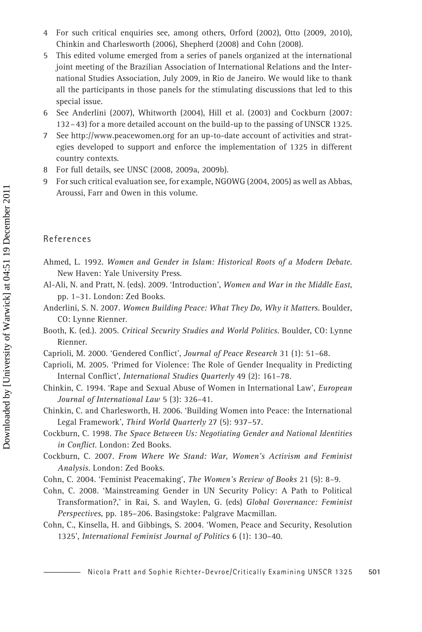- 4 For such critical enquiries see, among others, Orford (2002), Otto (2009, 2010), Chinkin and Charlesworth (2006), Shepherd (2008) and Cohn (2008).
- 5 This edited volume emerged from a series of panels organized at the international joint meeting of the Brazilian Association of International Relations and the International Studies Association, July 2009, in Rio de Janeiro. We would like to thank all the participants in those panels for the stimulating discussions that led to this special issue.
- 6 See Anderlini (2007), Whitworth (2004), Hill et al. (2003) and Cockburn (2007: 132–43) for a more detailed account on the build-up to the passing of UNSCR 1325.
- 7 See<http://www.peacewomen.org> for an up-to-date account of activities and strategies developed to support and enforce the implementation of 1325 in different country contexts.
- 8 For full details, see UNSC (2008, 2009a, 2009b).
- 9 For such critical evaluation see, for example, NGOWG (2004, 2005) as well as Abbas, Aroussi, Farr and Owen in this volume.

#### References

- Ahmed, L. 1992. Women and Gender in Islam: Historical Roots of a Modern Debate. New Haven: Yale University Press.
- Al-Ali, N. and Pratt, N. (eds). 2009. 'Introduction', Women and War in the Middle East, pp. 1–31. London: Zed Books.
- Anderlini, S. N. 2007. Women Building Peace: What They Do, Why it Matters. Boulder, CO: Lynne Rienner.
- Booth, K. (ed.). 2005. Critical Security Studies and World Politics. Boulder, CO: Lynne Rienner.
- Caprioli, M. 2000. 'Gendered Conflict', Journal of Peace Research 31 (1): 51–68.
- Caprioli, M. 2005. 'Primed for Violence: The Role of Gender Inequality in Predicting Internal Conflict', International Studies Quarterly 49 (2): 161–78.
- Chinkin, C. 1994. 'Rape and Sexual Abuse of Women in International Law', European Journal of International Law 5 (3): 326–41.
- Chinkin, C. and Charlesworth, H. 2006. 'Building Women into Peace: the International Legal Framework', Third World Quarterly 27 (5): 937–57.
- Cockburn, C. 1998. The Space Between Us: Negotiating Gender and National Identities in Conflict. London: Zed Books.
- Cockburn, C. 2007. From Where We Stand: War, Women's Activism and Feminist Analysis. London: Zed Books.
- Cohn, C. 2004. 'Feminist Peacemaking', The Women's Review of Books 21 (5): 8–9.
- Cohn, C. 2008. 'Mainstreaming Gender in UN Security Policy: A Path to Political Transformation?,' in Rai, S. and Waylen, G. (eds) Global Governance: Feminist Perspectives, pp. 185–206. Basingstoke: Palgrave Macmillan.
- Cohn, C., Kinsella, H. and Gibbings, S. 2004. 'Women, Peace and Security, Resolution 1325', International Feminist Journal of Politics 6 (1): 130–40.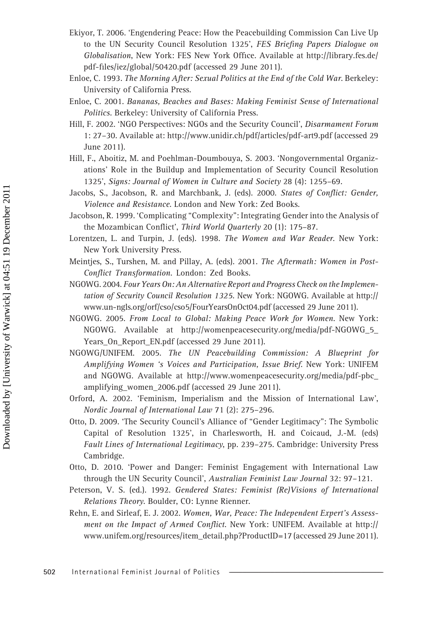- Ekiyor, T. 2006. 'Engendering Peace: How the Peacebuilding Commission Can Live Up to the UN Security Council Resolution 1325', FES Briefing Papers Dialogue on Globalisation, New York: FES New York Office. Available at [http://library.fes.de/](http://library.fes.de/pdf-files/iez/global/50420.pdf) [pdf-files/iez/global/50420.pdf](http://library.fes.de/pdf-files/iez/global/50420.pdf) (accessed 29 June 2011).
- Enloe, C. 1993. The Morning After: Sexual Politics at the End of the Cold War. Berkeley: University of California Press.
- Enloe, C. 2001. Bananas, Beaches and Bases: Making Feminist Sense of International Politics. Berkeley: University of California Press.
- Hill, F. 2002. 'NGO Perspectives: NGOs and the Security Council', Disarmament Forum 1: 27–30. Available at:<http://www.unidir.ch/pdf/articles/pdf-art9.pdf> (accessed 29 June 2011).
- Hill, F., Aboitiz, M. and Poehlman-Doumbouya, S. 2003. 'Nongovernmental Organizations' Role in the Buildup and Implementation of Security Council Resolution 1325', Signs: Journal of Women in Culture and Society 28 (4): 1255–69.
- Jacobs, S., Jacobson, R. and Marchbank, J. (eds). 2000. States of Conflict: Gender, Violence and Resistance. London and New York: Zed Books.
- Jacobson, R. 1999. 'Complicating "Complexity": Integrating Gender into the Analysis of the Mozambican Conflict', Third World Quarterly 20 (1): 175–87.
- Lorentzen, L. and Turpin, J. (eds). 1998. The Women and War Reader. New York: New York University Press.
- Meintjes, S., Turshen, M. and Pillay, A. (eds). 2001. The Aftermath: Women in Post-Conflict Transformation. London: Zed Books.
- NGOWG. 2004. Four Years On: An Alternative Report and Progress Check on the Implementation of Security Council Resolution 1325. New York: NGOWG. Available at [http://](http://www.un-ngls.org/orf/cso/cso5/FourYearsOnOct04.pdf) [www.un-ngls.org/orf/cso/cso5/FourYearsOnOct04.pdf](http://www.un-ngls.org/orf/cso/cso5/FourYearsOnOct04.pdf) (accessed 29 June 2011).
- NGOWG. 2005. From Local to Global: Making Peace Work for Women. New York: NGOWG. Available at [http://womenpeacesecurity.org/media/pdf-NGOWG\\_5\\_](http://womenpeacesecurity.org/media/pdf-NGOWG_5_Years_On_Report_EN.pdf) [Years\\_On\\_Report\\_EN.pdf](http://womenpeacesecurity.org/media/pdf-NGOWG_5_Years_On_Report_EN.pdf) (accessed 29 June 2011).
- NGOWG/UNIFEM. 2005. The UN Peacebuilding Commission: A Blueprint for Amplifying Women 's Voices and Participation, Issue Brief. New York: UNIFEM and NGOWG. Available at [http://www.womenpeacesecurity.org/media/pdf-pbc\\_](http://www.womenpeacesecurity.org/media/pdf-pbc_amplifying_women_2006.pdf) [amplifying\\_women\\_2006.pdf](http://www.womenpeacesecurity.org/media/pdf-pbc_amplifying_women_2006.pdf) (accessed 29 June 2011).
- Orford, A. 2002. 'Feminism, Imperialism and the Mission of International Law', Nordic Journal of International Law 71 (2): 275–296.
- Otto, D. 2009. 'The Security Council's Alliance of "Gender Legitimacy": The Symbolic Capital of Resolution 1325', in Charlesworth, H. and Coicaud, J.-M. (eds) Fault Lines of International Legitimacy, pp. 239–275. Cambridge: University Press Cambridge.
- Otto, D. 2010. 'Power and Danger: Feminist Engagement with International Law through the UN Security Council', Australian Feminist Law Journal 32: 97–121.
- Peterson, V. S. (ed.). 1992. Gendered States: Feminist (Re)Visions of International Relations Theory. Boulder, CO: Lynne Rienner.
- Rehn, E. and Sirleaf, E. J. 2002. Women, War, Peace: The Independent Expert's Assessment on the Impact of Armed Conflict. New York: UNIFEM. Available at [http://](http://www.unifem.org/resources/item_detail.php?ProductID=17) [www.unifem.org/resources/item\\_detail.php?ProductID=17](http://www.unifem.org/resources/item_detail.php?ProductID=17) (accessed 29 June 2011).